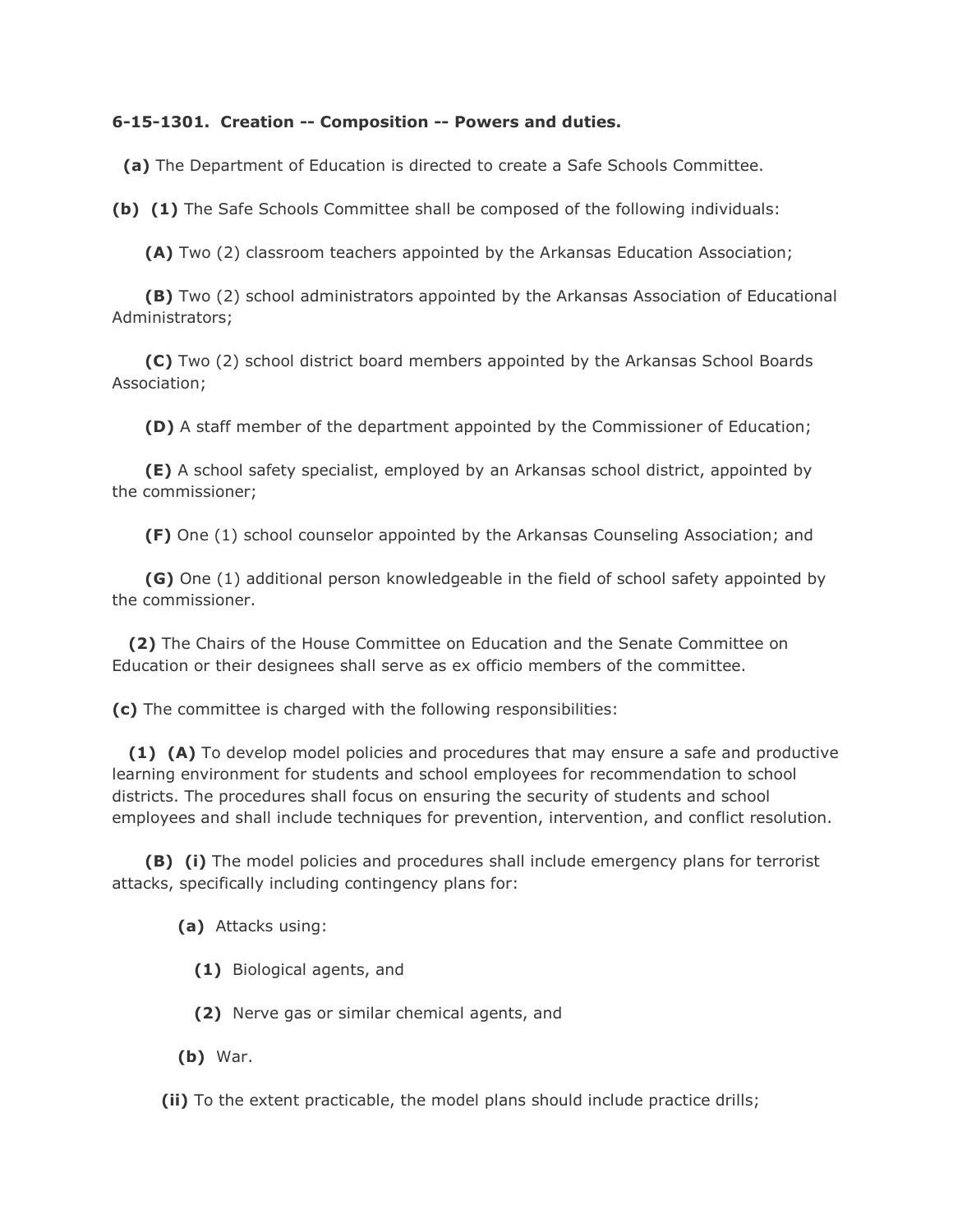## **6-15-1301. Creation -- Composition -- Powers and duties.**

**(a)** The Department of Education is directed to create a Safe Schools Committee.

**(b) (1)** The Safe Schools Committee shall be composed of the following individuals:

**(A)** Two (2) classroom teachers appointed by the Arkansas Education Association;

 **(B)** Two (2) school administrators appointed by the Arkansas Association of Educational Administrators;

 **(C)** Two (2) school district board members appointed by the Arkansas School Boards Association;

**(D)** A staff member of the department appointed by the Commissioner of Education;

 **(E)** A school safety specialist, employed by an Arkansas school district, appointed by the commissioner;

**(F)** One (1) school counselor appointed by the Arkansas Counseling Association; and

 **(G)** One (1) additional person knowledgeable in the field of school safety appointed by the commissioner.

 **(2)** The Chairs of the House Committee on Education and the Senate Committee on Education or their designees shall serve as ex officio members of the committee.

**(c)** The committee is charged with the following responsibilities:

 **(1) (A)** To develop model policies and procedures that may ensure a safe and productive learning environment for students and school employees for recommendation to school districts. The procedures shall focus on ensuring the security of students and school employees and shall include techniques for prevention, intervention, and conflict resolution.

 **(B) (i)** The model policies and procedures shall include emergency plans for terrorist attacks, specifically including contingency plans for:

**(a)** Attacks using:

**(1)** Biological agents, and

**(2)** Nerve gas or similar chemical agents, and

**(b)** War.

**(ii)** To the extent practicable, the model plans should include practice drills;